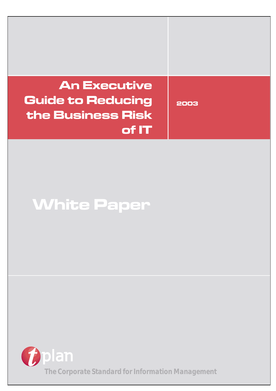# **An Executive Guide to Reducing the Business Risk of IT**

**2003**

**White Paper**

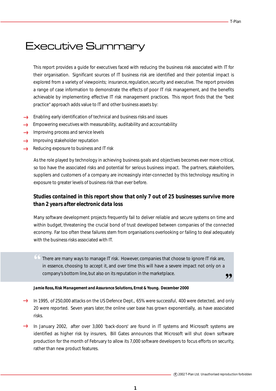# Executive Summary

This report provides a guide for executives faced with reducing the business risk associated with IT for their organisation. Significant sources of IT business risk are identified and their potential impact is explored from a variety of viewpoints; insurance, regulation, security and executive. The report provides a range of case information to demonstrate the effects of poor IT risk management, and the benefits achievable by implementing effective IT risk management practices. This report finds that the "best practice" approach adds value to IT and other business assets by:

- Enabling early identification of technical and business risks and issues
- Empowering executives with measurability, auditability and accountability food
- Improving process and service levels  $\epsilon$
- Improving stakeholder reputation  $\sim$
- Reducing exposure to business and IT risk **Lone**

As the role played by technology in achieving business goals and objectives becomes ever more critical, so too have the associated risks and potential for serious business impact. The partners, stakeholders, suppliers and customers of a company are increasingly inter-connected by this technology resulting in exposure to greater levels of business risk than ever before.

### *Studies contained in this report show that only 7 out of 25 businesses survive more than 2 years after electronic data loss*

Many software development projects frequently fail to deliver reliable and secure systems on time and within budget, threatening the crucial bond of trust developed between companies of the connected economy. Far too often these failures stem from organisations overlooking or failing to deal adequately with the business risks associated with IT.

" There are many ways to manage IT risk. However, companies that choose to ignore IT risk are, ,, in essence, choosing to accept it, and over time this will have a severe impact not only on a company's bottom line, but also on its reputation in the marketplace.

*Jamie Ross, Risk Management and Assurance Solutions, Ernst & Young. December 2000*

- In 1995, of 250,000 attacks on the US Defence Dept., 65% were successful, 400 were detected, and only 20 were reported. Seven years later, the online user base has grown exponentially, as have associated risks.
- $\epsilon$ In January 2002, after over 3,000 'back-doors' are found in IT systems and Microsoft systems are identified as higher risk by insurers, Bill Gates announces that Microsoft will shut down software production for the month of February to allow its 7,000 software developers to focus efforts on security, rather than new product features.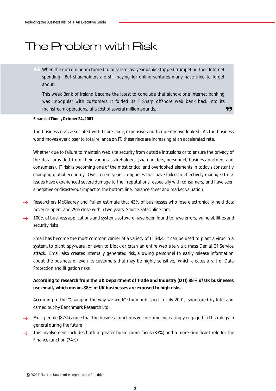# The Problem with Risk

" When the dotcom boom turned to bust late last year banks stopped trumpeting their Internet spending. But shareholders are still paying for online ventures many have tried to forget about.

,, This week Bank of Ireland became the latest to conclude that stand-alone Internet banking was unpopular with customers. It folded its F Sharp offshore web bank back into its mainstream operations, at a cost of several million pounds.

#### *Financial Times, October 24, 2001*

The business risks associated with IT are large, expensive and frequently overlooked. As the business world moves ever closer to total reliance on IT, these risks are increasing at an accelerated rate.

Whether due to failure to maintain web site security from outside intrusions or to ensure the privacy of the data provided from their various stakeholders (shareholders, personnel, business partners and consumers), IT risk is becoming one of the most critical and overlooked elements in today's constantly changing global economy. Over recent years companies that have failed to effectively manage IT risk issues have experienced severe damage to their reputations, especially with consumers, and have seen a negative or disasterous impact to the bottom line, balance sheet and market valuation.

- Researchers McGladrey and Pullen estimate that 43% of businesses who lose electronically held data never re-open, and 29% close within two years. *Source: SafeOnline.com*
- 100% of business applications and systems software have been found to have errors, vulnerabilities and  $\mathcal{L}_{\text{core}}$ security risks

Email has become the most common carrier of a variety of IT risks. It can be used to plant a virus in a system, to plant 'spy-ware', or even to block or crash an entire web site via a mass Denial Of Service attack. Email also creates internally generated risk, allowing personnel to easily release information about the business or even its customers that may be highly sensitive, which creates a raft of Data Protection and litigation risks.

#### **According to research from the UK Department of Trade and Industry (DTI) 88% of UK businesses use email, which means 88% of UK businesses are exposed to high risks.**

According to the "Changing the way we work" study published in July 2001, sponsored by Intel and carried out by Benchmark Research Ltd;

- $\rightarrow$  Most people (87%) agree that the business functions will become increasingly engaged in IT strategy in general during the future
- This involvement includes both a greater board room focus (83%) and a more significant role for the Finance function (74%)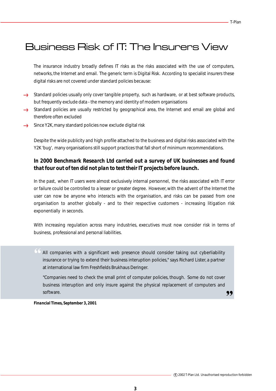# Business Risk of IT: The Insurers View

The insurance industry broadly defines IT risks as the risks associated with the use of computers, networks, the Internet and email. The generic term is Digital Risk. According to specialist insurers these digital risks are not covered under standard policies because:

- Standard policies usually only cover tangible property, such as hardware, or at best software products, but frequently exclude data - the memory and identity of modern organisations
- Standard policies are usually restricted by geographical area, the Internet and email are global and therefore often excluded
- Since Y2K, many standard policies now exclude digital risk  $rac{1}{2}$

Despite the wide publicity and high profile attached to the business and digital risks associated with the Y2K 'bug', many organisations still support practices that fall short of minimum recommendations.

### *In 2000 Benchmark Research Ltd carried out a survey of UK businesses and found that four out of ten did not plan to test their IT projects before launch.*

In the past, when IT users were almost exclusively internal personnel, the risks associated with IT error or failure could be controlled to a lesser or greater degree. However, with the advent of the Internet the user can now be anyone who interacts with the organisation, and risks can be passed from one organisation to another globally - and to their respective customers - increasing litigation risk exponentially in seconds.

With increasing regulation across many industries, executives must now consider risk in terms of business, professional and personal liabilities.

" All companies with a significant web presence should consider taking out cyberliability insurance or trying to extend their business interuption policies," says Richard Lister, a partner at international law firm Freshfields Brukhaus Deringer.

"Companies need to check the small print of computer policies, though. Some do not cover business interuption and only insure against the physical replacement of computers and software.

,,

*Financial Times, September 3, 2001*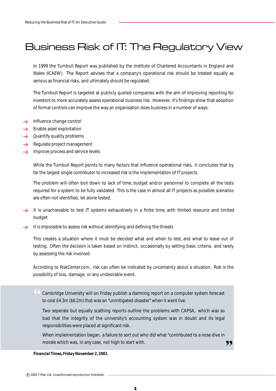# Business Risk of IT: The Regulatory View

In 1999 the Turnbull Report was published by the Institute of Chartered Accountants in England and Wales (ICAEW). The Report advises that a company's operational risk should be treated equally as serious as financial risks, and ultimately should be regulated.

The Turnbull Report is targeted at publicly quoted companies with the aim of improving reporting for investors to more accurately assess operational business risk. However, it's findings show that adoption of formal controls can improve the way an organisation does business in a number of ways:

- $\rightarrow$  Influence change control
- Enable asset exploitation
- $\rightarrow$  Quantify quality problems
- Regulate project management **food**
- Improve process and service levels المسمد

While the Turnbull Report points to many factors that influence operational risks, it concludes that by far the largest single contributor to increased risk is the implementation of IT projects.

The problem will often boil down to lack of time, budget and/or personnel to complete all the tests required for a system to be fully validated. This is the case in almost all IT projects as possible scenarios are often not identified, let alone tested.

- It is unachievable to test IT systems exhaustively in a finite time, with limited resource and limited budget
- It is impossible to assess risk without identifying and defining the threats from

This creates a situation where it must be decided what and when to test, and what to leave out of testing. Often the decision is taken based on instinct, occasionally by setting basic criteria, and rarely by assessing the risk involved.

According to RiskCenter.com, risk can often be indicated by uncertainty about a situation. Risk is the possibility of loss, damage, or any undesirable event.

" Cambridge University will on Friday publish a damning report on a computer system forecast to cost £4.3m (\$6.2m) that was an "unmitigated disaster" when it went live.

Two seperate but equally scathing reports outline the problems with CAPSA, which was so bad that the integrity of the university's accounting system was in doubt and its legal responsibilities were placed at significant risk.

,, When implementation began, a failure to sort out who did what "contributed to a nose dive in morale which was, in any case, not high to start with.

*Financial Times, Friday November 2, 2001*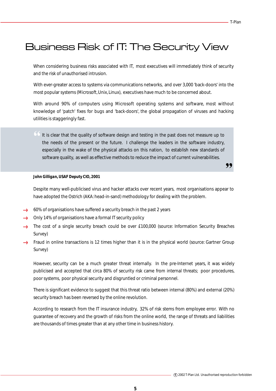,,

# Business Risk of IT: The Security View

When considering business risks associated with IT, most executives will immediately think of security and the risk of unauthorised intrusion.

With ever-greater access to systems via communications networks, and over 3,000 'back-doors' into the most popular systems (Microsoft, Unix, Linux), executives have much to be concerned about.

With around 90% of computers using Microsoft operating systems and software, most without knowledge of 'patch' fixes for bugs and 'back-doors', the global propagation of viruses and hacking utilities is staggeringly fast.

" It is clear that the quality of software design and testing in the past does not measure up to the needs of the present or the future. I challenge the leaders in the software industry, especially in the wake of the physical attacks on this nation, to establish new standards of software quality, as well as effective methods to reduce the impact of current vulnerabilities.

#### *John Gilligan, USAF Deputy CIO, 2001*

Despite many well-publicised virus and hacker attacks over recent years, most organisations appear to have adopted the Ostrich (AKA: head-in-sand) methodology for dealing with the problem.

- $\rightarrow$  60% of organisations have suffered a security breach in the past 2 years
- Only 14% of organisations have a formal IT security policy
- The cost of a single security breach could be over £100,000 (source: Information Security Breaches  $\epsilon$ Survey)
- Fraud in online transactions is 12 times higher than it is in the physical world (source: Gartner Group Survey)

However, security can be a much greater threat internally. In the pre-Internet years, it was widely publicised and accepted that circa 80% of security risk came from internal threats; poor procedures, poor systems, poor physical security and disgruntled or criminal personnel.

There is significant evidence to suggest that this threat ratio between internal (80%) and external (20%) security breach has been reversed by the online revolution.

According to research from the IT insurance industry, 32% of risk stems from employee error. With no guarantee of recovery and the growth of risks from the online world, the range of threats and liabilities are thousands of times greater than at any other time in business history.

**5**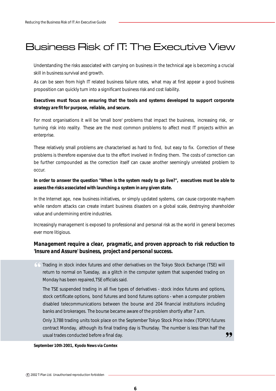# Business Risk of IT: The Executive View

Understanding the risks associated with carrying on business in the technical age is becoming a crucial skill in business survival and growth.

As can be seen from high IT related business failure rates, what may at first appear a good business proposition can quickly turn into a significant business risk and cost liability.

### *Executives must focus on ensuring that the tools and systems developed to support corporate strategy are fit for purpose, reliable, and secure.*

For most organisations it will be 'small bore' problems that impact the business, increasing risk, or turning risk into reality. These are the most common problems to affect most IT projects within an enterprise.

These relatively small problems are characterised as hard to find, but easy to fix. Correction of these problems is therefore expensive due to the effort involved in finding them. The costs of correction can be further compounded as the correction itself can cause another seemingly unrelated problem to occur.

### *In order to answer the question "When is the system ready to go live?", executives must be able to assess the risks associated with launching a system in any given state.*

In the Internet age, new business initiatives, or simply updated systems, can cause corporate mayhem while random attacks can create instant business disasters on a global scale, destroying shareholder value and undermining entire industries.

Increasingly management is exposed to professional and personal risk as the world in general becomes ever more litigious.

### *Management require a clear, pragmatic, and proven approach to risk reduction to 'Insure and Assure' business, project and personal success.*

" Trading in stock index futures and other derivatives on the Tokyo Stock Exchange (TSE) will return to normal on Tuesday, as a glitch in the computer system that suspended trading on Monday has been repaired, TSE officials said.

The TSE suspended trading in all five types of derivatives - stock index futures and options, stock certificate options, bond futures and bond futures options - when a computer problem disabled telecommunications between the bourse and 204 financial institutions including banks and brokerages. The bourse became aware of the problem shortly after 7 a.m.

,, Only 3,788 trading units took place on the September Tokyo Stock Price Index (TOPIX) futures contract Monday, although its final trading day is Thursday. The number is less than half the usual trades conducted before a final day.

#### *September 10th 2001, Kyodo News via Comtex*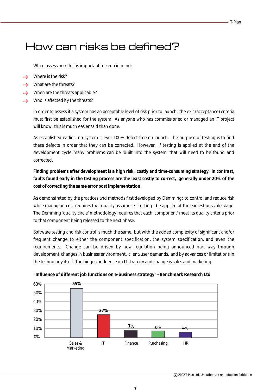# How can risks be defined?

When assessing risk it is important to keep in mind:

- Where is the risk? **Loon**
- What are the threats?
- When are the threats applicable? **Loose**
- Who is affected by the threats?  $\mathcal{L}_{\text{onon}}$

In order to assess if a system has an acceptable level of risk prior to launch, the exit (acceptance) criteria must first be established for the system. As anyone who has commissioned or managed an IT project will know, this is much easier said than done.

As established earlier, no system is ever 100% defect free on launch. The purpose of testing is to find these defects in order that they can be corrected. However, if testing is applied at the end of the development cycle many problems can be 'built into the system' that will need to be found and corrected.

### *Finding problems after development is a high risk, costly and time-consuming strategy. In contrast, faults found early in the testing process are the least costly to correct, generally under 20% of the cost of correcting the same error post implementation.*

As demonstrated by the practices and methods first developed by Demming; to control and reduce risk while managing cost requires that quality assurance - testing - be applied at the earliest possible stage. The Demming 'quality circle' methodology requires that each 'component' meet its quality criteria prior to that component being released to the next phase.

Software testing and risk control is much the same, but with the added complexity of significant and/or frequent change to either the component specification, the system specification, and even the requirements. Change can be driven by new regulation being announced part way through development, changes in business environment, client/user demands, and by advances or limitations in the technology itself. The biggest influence on IT strategy and change is sales and marketing.



#### **"Influence of different job functions on e-business strategy" - Benchmark Research Ltd**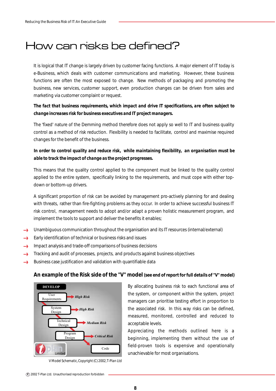# How can risks be defined?

It is logical that IT change is largely driven by customer facing functions. A major element of IT today is e-Business, which deals with customer communications and marketing. However, these business functions are often the most exposed to change. New methods of packaging and promoting the business, new services, customer support, even production changes can be driven from sales and marketing via customer complaint or request.

### *The fact that business requirements, which impact and drive IT specifications, are often subject to change increases risk for business executives and IT project managers.*

The 'fixed' nature of the Demming method therefore does not apply so well to IT and business quality control as a method of risk reduction. Flexibility is needed to facilitate, control and maximise required changes for the benefit of the business.

### *In order to control quality and reduce risk, while maintaining flexibility, an organisation must be able to track the impact of change as the project progresses.*

This means that the quality control applied to the component must be linked to the quality control applied to the entire system, specifically linking to the requirements, and must cope with either topdown or bottom-up drivers.

A significant proportion of risk can be avoided by management pro-actively planning for and dealing with threats, rather than fire-fighting problems as they occur. In order to achieve successful business IT risk control, management needs to adopt and/or adapt a proven holistic measurement program, and implement the tools to support and deliver the benefits it enables;

- Unambiguous communication throughout the organisation and its IT resources (internal/external)
- Early identification of technical or business risks and issues **Loons**
- Impact analysis and trade-off comparisons of business decisions f....
- Tracking and audit of processes, projects, and products against business objectives form
- Business case justification and validation with quantifiable data .....

### **An example of the Risk side of the "V" model** *(see end of report for full details of "V" model)*



*V Model Schematic, Copyright (C) 2002, T-Plan Ltd*

By allocating business risk to each functional area of the system, or component within the system, project managers can prioritise testing effort in proportion to the associated risk. In this way risks can be defined, measured, monitored, controlled and reduced to acceptable levels.

Appreciating the methods outlined here is a beginning, implementing them without the use of field-proven tools is expensive and operationally unachievable for most organisations.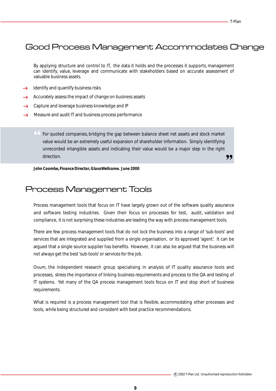### Good Process Management Accommodates Change

By applying structure and control to IT, the data it holds and the processes it supports, management can identify, value, leverage and communicate with stakeholders based on accurate assessment of valuable business assets.

- Identify and quantify business risks
- Accurately assess the impact of change on business assets الأددد
- $\rightarrow$  Capture and leverage business knowledge and IP
- Measure and audit IT and business process performance  $\longleftrightarrow$

" 99 For quoted companies, bridging the gap between balance sheet net assets and stock market value would be an extremely useful expansion of shareholder information. Simply identifying unrecorded intangible assets and indicating their value would be a major step in the right direction.

*John Coombe, Finance Director, GlaxoWellcome. June 2000*

### Process Management Tools

Process management tools that focus on IT have largely grown out of the software quality assurance and software testing industries. Given their focus on processes for test, audit, validation and compliance, it is not surprising these industries are leading the way with process management tools.

There are few process management tools that do not lock the business into a range of 'sub-tools' and services that are integrated and supplied from a single organisation, or its approved 'agent'. It can be argued that a single source supplier has benefits. However, it can also be argued that the business will not always get the best 'sub-tools' or services for the job.

Ovum, the independent research group specialising in analysis of IT quality assurance tools and processes, stress the importance of linking business requirements and process to the QA and testing of IT systems. Yet many of the QA process management tools focus on IT and stop short of business requirements.

What is required is a process management tool that is flexible, accommodating other processes and tools, while being structured and consistent with best practice recommendations.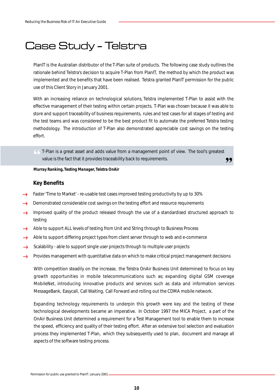# Case Study - Telstra

PlanIT is the Australian distributor of the T-Plan suite of products. The following case study outlines the rationale behind Telstra's decision to acquire T-Plan from PlanIT, the method by which the product was implemented and the benefits that have been realised. Telstra granted PlanIT permission for the public use of this Client Story in January 2001.

With an increasing reliance on technological solutions, Telstra implemented T-Plan to assist with the effective management of their testing within certain projects. T-Plan was chosen because it was able to store and support traceability of business requirements, rules and test cases for all stages of testing and the test teams and was considered to be the best product fit to automate the preferred Telstra testing methodology. The introduction of T-Plan also demonstrated appreciable cost savings on the testing effort.

" T-Plan is a great asset and adds value from a management point of view. The tool's greatest value is the fact that it provides traceability back to requirements.

,,

*Murray Ranking, Testing Manager, Telstra OnAir*

#### **Key Benefits**

- Faster 'Time to Market' re-usable test cases improved testing productivity by up to 30%
- Demonstrated considerable cost savings on the testing effort and resource requirements form
- Improved quality of the product released through the use of a standardised structured approach to **boom** testing
- Able to support ALL levels of testing from Unit and String through to Business Process  $\mathcal{L}_{\text{conv}}$
- Able to support differing project types from client server through to web and e-commerce ......
- Scalability able to support single user projects through to multiple user projects  $\longrightarrow$
- Provides management with quantitative data on which to make critical project management decisions .....

With competition steadily on the increase, the Telstra OnAir Business Unit determined to focus on key growth opportunities in mobile telecommunications such as; expanding digital GSM coverage MobileNet, introducing innovative products and services such as data and information services MessageBank, Easycall, Call Waiting, Call Forward and rolling out the CDMA mobile network.

Expanding technology requirements to underpin this growth were key and the testing of these technological developments became an imperative. In October 1997 the MICA Project, a part of the OnAir Business Unit determined a requirement for a Test Management tool to enable them to increase the speed, efficiency and quality of their testing effort. After an extensive tool selection and evaluation process they implemented T-Plan, which they subsequently used to plan, document and manage all aspects of the software testing process.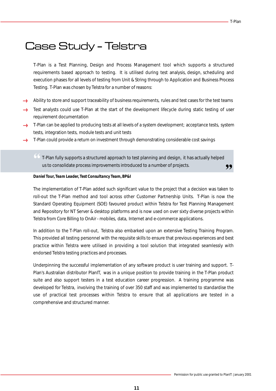# Case Study - Telstra

T-Plan is a Test Planning, Design and Process Management tool which supports a structured requirements based approach to testing. It is utilised during test analysis, design, scheduling and execution phases for all levels of testing from Unit & String through to Application and Business Process Testing. T-Plan was chosen by Telstra for a number of reasons:

- Ability to store and support traceability of business requirements, rules and test cases for the test teams
- Test analysts could use T-Plan at the start of the development lifecycle during static testing of user requirement documentation
- $\rightarrow$  T-Plan can be applied to producing tests at all levels of a system development; acceptance tests, system tests, integration tests, module tests and unit tests
- T-Plan could provide a return on investment through demonstrating considerable cost savings  $rac{1}{2}$

" T-Plan fully supports a structured approach to test planning and design, it has actually helped " us to consolidate process improvements introduced to a number of projects.

#### *Daniel Tour, Team Leader, Test Consultancy Team, BP&I*

The implementation of T-Plan added such significant value to the project that a decision was taken to roll-out the T-Plan method and tool across other Customer Partnership Units. T-Plan is now the Standard Operating Equipment (SOE) favoured product within Telstra for Test Planning Management and Repository for NT Server & desktop platforms and is now used on over sixty diverse projects within Telstra from Core Billing to OnAir - mobiles, data, Internet and e-commerce applications.

In addition to the T-Plan roll-out, Telstra also embarked upon an extensive Testing Training Program. This provided all testing personnel with the requisite skills to ensure that previous experiences and best practice within Telstra were utilised in providing a tool solution that integrated seamlessly with endorsed Telstra testing practices and processes.

Underpinning the successful implementation of any software product is user training and support. T-Plan's Australian distributor PlanIT, was in a unique position to provide training in the T-Plan product suite and also support testers in a test education career progression. A training programme was developed for Telstra, involving the training of over 350 staff and was implemented to standardise the use of practical test processes within Telstra to ensure that all applications are tested in a comprehensive and structured manner.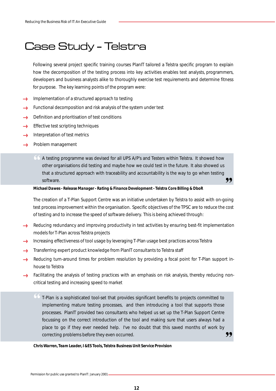# Case Study - Telstra

Following several project specific training courses PlanIT tailored a Telstra specific program to explain how the decomposition of the testing process into key activities enables test analysts, programmers, developers and business analysts alike to thoroughly exercise test requirements and determine fitness for purpose. The key learning points of the program were:

- Implementation of a structured approach to testing
- Functional decomposition and risk analysis of the system under test **forces**
- Definition and prioritisation of test conditions from
- Effective test scripting techniques force
- Interpretation of test metrics  $\epsilon$
- <u>en andre</u> Problem management
	- " A testing programme was devised for all UPS A/P's and Testers within Telstra. It showed how ,, other organisations did testing and maybe how we could test in the future. It also showed us that a structured approach with traceability and accountability is the way to go when testing software.

#### *Michael Dawes - Release Manager - Rating & Finance Development - Telstra Core Billing & DboR*

The creation of a T-Plan Support Centre was an initiative undertaken by Telstra to assist with on-going test process improvement within the organisation. Specific objectives of the TPSC are to reduce the cost of testing and to increase the speed of software delivery. This is being achieved through:

- Reducing redundancy and improving productivity in test activities by ensuring best-fit implementation  $\epsilon$ models for T-Plan across Telstra projects
- Increasing effectiveness of tool usage by leveraging T-Plan usage best practices across Telstra
- Transferring expert product knowledge from PlanIT consultants to Telstra staff  $\epsilon$
- **Local** Reducing turn-around times for problem resolution by providing a focal point for T-Plan support inhouse to Telstra
- Facilitating the analysis of testing practices with an emphasis on risk analysis, thereby reducing non-**Same** critical testing and increasing speed to market
	- " T-Plan is a sophisticated tool-set that provides significant benefits to projects committed to 99 implementing mature testing processes, and then introducing a tool that supports those processes. PlanIT provided two consultants who helped us set up the T-Plan Support Centre focussing on the correct introduction of the tool and making sure that users always had a place to go if they ever needed help. I've no doubt that this saved months of work by correcting problems before they even occurred.

#### *Chris Warren, Team Leader, I &ES Tools, Telstra Business Unit Service Provision*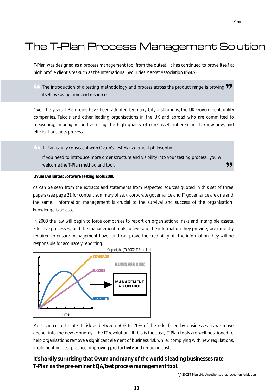# The T-Plan Process Management Solution Solution Solution Solution Solution Solution Solution Solution Solution

T-Plan was designed as a process management tool from the outset. It has continued to prove itself at high profile client sites such as the International Securities Market Association (ISMA).

 $\overline{\bullet}$  The introduction of a testing methodology and process across the product range is proving  $\overline{\bullet}$  itself by saving time and resources. itself by saving time and resources.

Over the years T-Plan tools have been adopted by many City institutions, the UK Government, utility companies, Telco's and other leading organisations in the UK and abroad who are committed to measuring, managing and assuring the high quality of core assets inherent in IT, know-how, and efficient business process.

" T-Plan is fully consistent with Ovum's Test Management philosophy.

99 If you need to introduce more order structure and visibility into your testing process, you will welcome the T-Plan method and tool.

#### *Ovum Evaluates: Software Testing Tools 2000*

As can be seen from the extracts and statements from respected sources quoted in this set of three papers (see page 21 for content summary of set), corporate governance and IT governance are one and the same. Information management is crucial to the survival and success of the organisation, knowledge is an asset.

In 2003 the law will begin to force companies to report on organisational risks and intangible assets. Effective processes, and the management tools to leverage the information they provide, are urgently required to ensure management have, and can prove the credibility of, the information they will be responsible for accurately reporting.



Most sources estimate IT risk as between 50% to 70% of the risks faced by businesses as we move deeper into the new economy - the IT revolution. If this is the case, T-Plan tools are well positioned to help organisations remove a significant element of business risk while; complying with new regulations, implementing best practice, improving productivity and reducing costs.

### *It's hardly surprising that Ovum and many of the world's leading businesses rate T-Plan as the pre-eminent QA/test process management tool.*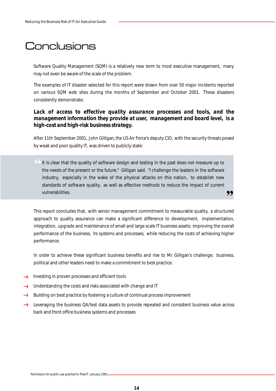# **Conclusions**

Software Quality Management (SQM) is a relatively new term to most executive management, many may not even be aware of the scale of the problem.

The examples of IT disaster selected for this report were drawn from over 50 major incidents reported on various SQM web sites during the months of September and October 2001. These disasters consistently demonstrate:

### Lack of access to effective quality assurance processes and tools, and the *management information they provide at user, management and board level, is a high-cost and high-risk business strategy.*

After 11th September 2001, John Gilligan, the US Air Force's deputy CIO, with the security threats posed by weak and poor quality IT, was driven to publicly state:

" It is clear that the quality of software design and testing in the past does not measure up to ,, the needs of the present or the future," Gilligan said. "I challenge the leaders in the software industry, especially in the wake of the physical attacks on this nation, to establish new standards of software quality, as well as effective methods to reduce the impact of current vulnerabilities.

This report concludes that, with senior management commitment to measurable quality, a structured approach to quality assurance can make a significant difference to development, implementation, integration, upgrade and maintenance of small and large scale IT business assets; improving the overall performance of the business, its systems and processes, while reducing the costs of achieving higher performance.

In order to achieve these significant business benefits and rise to Mr. Gilligan's challenge; business, political and other leaders need to make a commitment to best practice.

- $\rightarrow$  Investing in proven processes and efficient tools
- Understanding the costs and risks associated with change and IT
- Building on best practice by fostering a culture of continual process improvement  $\rightarrow$
- → Leveraging the business QA/test data assets to provide repeated and consistent business value across back and front office business systems and processes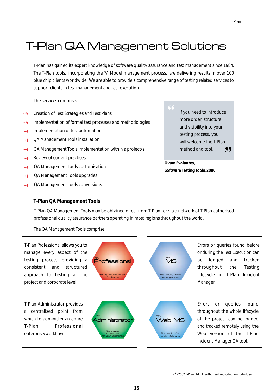# T-Plan QA Management Solutions

T-Plan has gained its expert knowledge of software quality assurance and test management since 1984. The T-Plan tools, incorporating the 'V' Model management process, are delivering results in over 100 blue chip clients worldwide. We are able to provide a comprehensive range of testing related services to support clients in test management and test execution.

The services comprise:

- Creation of Test Strategies and Test Plans
- Implementation of formal test processes and methodologies .....
- Implementation of test automation **Loose**
- QA Management Tools installation .....
- QA Management Tools implementation within a project/s  $\rightarrow$
- Review of current practices
- QA Management Tools customisation .....
- QA Management Tools upgrades
- QA Management Tools conversions ......

" 99 If you need to introduce more order, structure and visibility into your testing process, you will welcome the T-Plan method and tool.

*Ovum Evaluates, Software Testing Tools, 2000*

#### **T-Plan QA Management Tools**

T-Plan QA Management Tools may be obtained direct from T-Plan, or via a network of T-Plan authorised professional quality assurance partners operating in most regions throughout the world.

The QA Management Tools comprise:

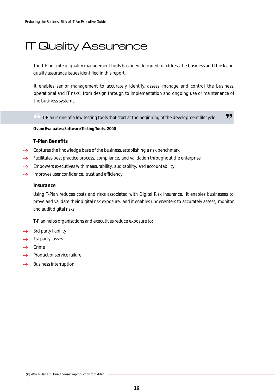# IT Quality Assurance

The T-Plan suite of quality management tools has been designed to address the business and IT risk and quality assurance issues identified in this report.

It enables senior management to accurately identify, assess, manage and control the business, operational and IT risks; from design through to implementation and ongoing use or maintenance of the business systems.

 $\begin{array}{l} \textcircled{f} \text{I-Plan is one of a few testing tools that start at the beginning of the development lifecycle.} \end{array}$ 

*Ovum Evaluates: Software Testing Tools, 2000*

#### **T-Plan Benefits**

- Captures the knowledge base of the business, establishing a risk benchmark
- Facilitates best practice process, compliance, and validation throughout the enterprise أأسد
- Empowers executives with measurability, auditability, and accountability en<br>Soone
- Improves user confidence, trust and efficiency .....)

#### **Insurance**

Using T-Plan reduces costs and risks associated with Digital Risk insurance. It enables businesses to prove and validate their digital risk exposure, and it enables underwriters to accurately assess, monitor and audit digital risks.

T-Plan helps organisations and executives reduce exposure to:

- $\rightarrow$  3rd party liability
- 1st party losses  $\ell_{\text{even}}$
- Crime  $\epsilon$
- Product or service failure
- Business interruption......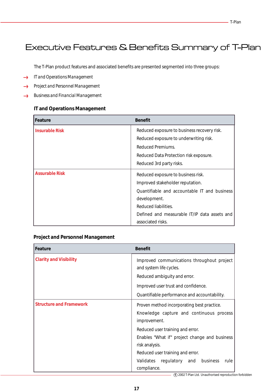### Executive Features & Benefits Summary of T-Plan

The T-Plan product features and associated benefits are presented segmented into three groups:

- *IT and Operations Management*  $\rightarrow$
- *Project and Personnel Management* **Access**
- *Business and Financial Management*

#### **IT and Operations Management**

| Feature               | <b>Benefit</b>                               |
|-----------------------|----------------------------------------------|
| <b>Insurable Risk</b> | Reduced exposure to business recovery risk.  |
|                       | Reduced exposure to underwriting risk.       |
|                       | Reduced Premiums.                            |
|                       | Reduced Data Protection risk exposure.       |
|                       | Reduced 3rd party risks.                     |
| <b>Assurable Risk</b> | Reduced exposure to business risk.           |
|                       | Improved stakeholder reputation.             |
|                       | Quantifiable and accountable IT and business |
|                       | development.                                 |
|                       | Reduced liabilities.                         |
|                       | Defined and measurable IT/IP data assets and |
|                       | associated risks.                            |

#### **Project and Personnel Management**

| Feature                        | <b>Benefit</b>                                                        |
|--------------------------------|-----------------------------------------------------------------------|
| <b>Clarity and Visibility</b>  | Improved communications throughout project<br>and system life cycles. |
|                                | Reduced ambiguity and error.                                          |
|                                | Improved user trust and confidence.                                   |
|                                | Quantifiable performance and accountability.                          |
| <b>Structure and Framework</b> | Proven method incorporating best practice.                            |
|                                | Knowledge capture and continuous process<br>improvement.              |
|                                | Reduced user training and error.                                      |
|                                | Enables "What if" project change and business                         |
|                                | risk analysis.                                                        |
|                                | Reduced user training and error.                                      |
|                                | business<br>Validates regulatory and<br>rule                          |
|                                | compliance.                                                           |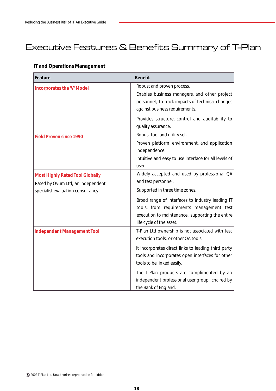# Executive Features & Benefits Summary of T-Plan

### **IT and Operations Management**

| <b>Feature</b>                                                                                                   | <b>Benefit</b>                                                                                                                                                                                                                                                                                                                                            |
|------------------------------------------------------------------------------------------------------------------|-----------------------------------------------------------------------------------------------------------------------------------------------------------------------------------------------------------------------------------------------------------------------------------------------------------------------------------------------------------|
| <b>Incorporates the 'V' Model</b>                                                                                | Robust and proven process.<br>Enables business managers, and other project<br>personnel, to track impacts of technical changes<br>against business requirements.<br>Provides structure, control and auditability to                                                                                                                                       |
| <b>Field Proven since 1990</b>                                                                                   | quality assurance.<br>Robust tool and utility set.<br>Proven platform, environment, and application<br>independence.<br>Intuitive and easy to use interface for all levels of<br>user.                                                                                                                                                                    |
| <b>Most Highly Rated Tool Globally</b><br>Rated by Ovum Ltd, an independent<br>specialist evaluation consultancy | Widely accepted and used by professional QA<br>and test personnel.<br>Supported in three time zones.<br>Broad range of interfaces to industry leading IT<br>tools; from requirements management test<br>execution to maintenance, supporting the entire<br>life cycle of the asset.                                                                       |
| <b>Independent Management Tool</b>                                                                               | T-Plan Ltd ownership is not associated with test<br>execution tools, or other QA tools.<br>It incorporates direct links to leading third party<br>tools and incorporates open interfaces for other<br>tools to be linked easily.<br>The T-Plan products are complimented by an<br>independent professional user group, chaired by<br>the Bank of England. |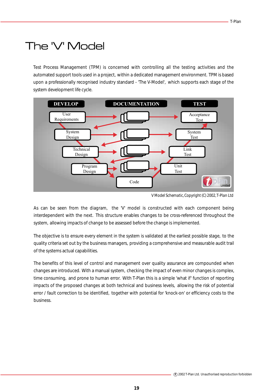# The 'V' Model

Test Process Management (TPM) is concerned with controlling all the testing activities and the automated support tools used in a project, within a dedicated management environment. TPM is based upon a professionally recognised industry standard - 'The V-Model', which supports each stage of the system development life cycle.



*V Model Schematic, Copyright (C) 2002, T-Plan Ltd*

As can be seen from the diagram, the 'V' model is constructed with each component being interdependent with the next. This structure enables changes to be cross-referenced throughout the system, allowing impacts of change to be assessed before the change is implemented.

The objective is to ensure every element in the system is validated at the earliest possible stage, to the quality criteria set out by the business managers, providing a comprehensive and measurable audit trail of the systems actual capabilities.

The benefits of this level of control and management over quality assurance are compounded when changes are introduced. With a manual system, checking the impact of even minor changes is complex, time consuming, and prone to human error. With T-Plan this is a simple 'what if' function of reporting impacts of the proposed changes at both technical and business levels, allowing the risk of potential error / fault correction to be identified, together with potential for 'knock-on' or efficiency costs to the business.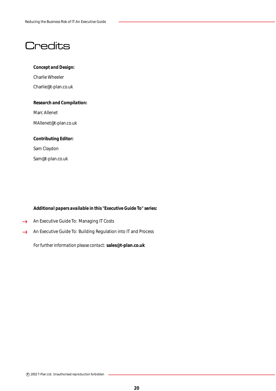# **Credits**

#### *Concept and Design:*

Charlie Wheeler Charlie@t-plan.co.uk

#### *Research and Compilation:*

Marc Allenet

MAllenet@t-plan.co.uk

#### *Contributing Editor:*

Sam Claydon

Sam@t-plan.co.uk

#### *Additional papers available in this "Executive Guide To" series:*

- An Executive Guide To: Managing IT Costs  $\longrightarrow$
- An Executive Guide To: Building Regulation into IT and Process  $\longleftrightarrow$

*For further information please contact:* **sales@t-plan.co.uk**